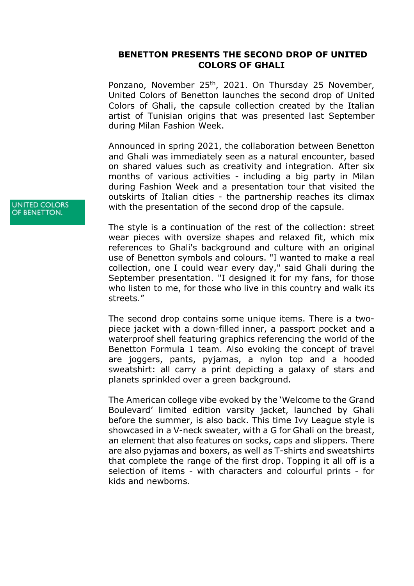## **BENETTON PRESENTS THE SECOND DROP OF UNITED COLORS OF GHALI**

Ponzano, November 25<sup>th</sup>, 2021. On Thursday 25 November, United Colors of Benetton launches the second drop of United Colors of Ghali, the capsule collection created by the Italian artist of Tunisian origins that was presented last September during Milan Fashion Week.

Announced in spring 2021, the collaboration between Benetton and Ghali was immediately seen as a natural encounter, based on shared values such as creativity and integration. After six months of various activities - including a big party in Milan during Fashion Week and a presentation tour that visited the outskirts of Italian cities - the partnership reaches its climax with the presentation of the second drop of the capsule.

The style is a continuation of the rest of the collection: street wear pieces with oversize shapes and relaxed fit, which mix references to Ghali's background and culture with an original use of Benetton symbols and colours. "I wanted to make a real collection, one I could wear every day," said Ghali during the September presentation. "I designed it for my fans, for those who listen to me, for those who live in this country and walk its streets."

The second drop contains some unique items. There is a twopiece jacket with a down-filled inner, a passport pocket and a waterproof shell featuring graphics referencing the world of the Benetton Formula 1 team. Also evoking the concept of travel are joggers, pants, pyjamas, a nylon top and a hooded sweatshirt: all carry a print depicting a galaxy of stars and planets sprinkled over a green background.

The American college vibe evoked by the 'Welcome to the Grand Boulevard' limited edition varsity jacket, launched by Ghali before the summer, is also back. This time Ivy League style is showcased in a V-neck sweater, with a G for Ghali on the breast, an element that also features on socks, caps and slippers. There are also pyjamas and boxers, as well as T-shirts and sweatshirts that complete the range of the first drop. Topping it all off is a selection of items - with characters and colourful prints - for kids and newborns.

**UNITED COLORS** OF BENETTON.